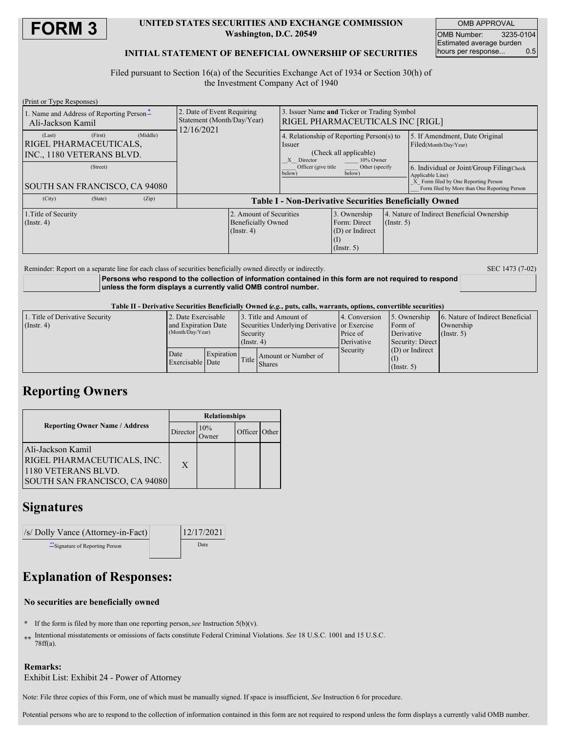

### **UNITED STATES SECURITIES AND EXCHANGE COMMISSION Washington, D.C. 20549**

OMB APPROVAL OMB Number: 3235-0104 Estimated average burden hours per response... 0.5

### **INITIAL STATEMENT OF BENEFICIAL OWNERSHIP OF SECURITIES**

Filed pursuant to Section 16(a) of the Securities Exchange Act of 1934 or Section 30(h) of the Investment Company Act of 1940

| (Print or Type Responses)                                     |         |          |                                                                        |                                                                          |                                                                                                          |                                                                     |                  |                                                                                                                                                        |  |
|---------------------------------------------------------------|---------|----------|------------------------------------------------------------------------|--------------------------------------------------------------------------|----------------------------------------------------------------------------------------------------------|---------------------------------------------------------------------|------------------|--------------------------------------------------------------------------------------------------------------------------------------------------------|--|
| 1. Name and Address of Reporting Person-<br>Ali-Jackson Kamil |         |          | 2. Date of Event Requiring<br>Statement (Month/Day/Year)<br>12/16/2021 |                                                                          | 3. Issuer Name and Ticker or Trading Symbol<br>RIGEL PHARMACEUTICALS INC [RIGL]                          |                                                                     |                  |                                                                                                                                                        |  |
| (Last)<br>RIGEL PHARMACEUTICALS.<br>INC., 1180 VETERANS BLVD. | (First) | (Middle) |                                                                        |                                                                          | 4. Relationship of Reporting Person(s) to<br>Issuer<br>(Check all applicable)<br>X Director<br>10% Owner |                                                                     |                  | 5. If Amendment, Date Original<br>Filed(Month/Day/Year)                                                                                                |  |
| (Street)<br>SOUTH SAN FRANCISCO, CA 94080                     |         |          |                                                                        |                                                                          | Officer (give title)<br>Other (specify)<br>below)<br>below)                                              |                                                                     |                  | 6. Individual or Joint/Group Filing(Check)<br>Applicable Line)<br>X Form filed by One Reporting Person<br>Form filed by More than One Reporting Person |  |
| (City)                                                        | (State) | (Zip)    | <b>Table I - Non-Derivative Securities Beneficially Owned</b>          |                                                                          |                                                                                                          |                                                                     |                  |                                                                                                                                                        |  |
| 1. Title of Security<br>$($ Instr. 4 $)$                      |         |          |                                                                        | 2. Amount of Securities<br><b>Beneficially Owned</b><br>$($ Instr. 4 $)$ |                                                                                                          | 3. Ownership<br>Form: Direct<br>(D) or Indirect<br>$($ Instr. 5 $)$ | $($ Instr. 5 $)$ | 4. Nature of Indirect Beneficial Ownership                                                                                                             |  |

Reminder: Report on a separate line for each class of securities beneficially owned directly or indirectly. SEC 1473 (7-02)

**Persons who respond to the collection of information contained in this form are not required to respond unless the form displays a currently valid OMB control number.**

Table II - Derivative Securities Beneficially Owned (e.g., puts, calls, warrants, options, convertible securities)

| 1. Title of Derivative Security | 2. Date Exercisable |                  | 3. Title and Amount of                       |                     | 14. Conversion | 15. Ownership     | 6. Nature of Indirect Beneficial |  |
|---------------------------------|---------------------|------------------|----------------------------------------------|---------------------|----------------|-------------------|----------------------------------|--|
| (Insert 4)                      | and Expiration Date |                  | Securities Underlying Derivative or Exercise |                     |                | Form of           | Ownership                        |  |
|                                 |                     | (Month/Day/Year) |                                              | Security            | Price of       | Derivative        | $($ Instr. 5 $)$                 |  |
|                                 |                     |                  | $($ Instr. 4)                                |                     | Derivative     | Security: Direct  |                                  |  |
|                                 | Date                | Expiration       |                                              |                     | Security       | $(D)$ or Indirect |                                  |  |
|                                 | Exercisable Date    |                  | Title I                                      | Amount or Number of |                |                   |                                  |  |
|                                 |                     |                  |                                              | <b>Shares</b>       |                | $($ Instr. 5)     |                                  |  |

## **Reporting Owners**

|                                                                                                          | <b>Relationships</b> |                     |               |  |  |  |
|----------------------------------------------------------------------------------------------------------|----------------------|---------------------|---------------|--|--|--|
| <b>Reporting Owner Name / Address</b><br>Director                                                        |                      | 10%<br><b>Twner</b> | Officer Other |  |  |  |
| Ali-Jackson Kamil<br>RIGEL PHARMACEUTICALS, INC.<br>1180 VETERANS BLVD.<br>SOUTH SAN FRANCISCO, CA 94080 | X                    |                     |               |  |  |  |

## **Signatures**

| /s/ Dolly Vance (Attorney-in-Fact) | 12/17/2021 |  |
|------------------------------------|------------|--|
| ** Signature of Reporting Person   | Date       |  |

# **Explanation of Responses:**

### **No securities are beneficially owned**

- **\*** If the form is filed by more than one reporting person,*see* Instruction 5(b)(v).
- **\*\*** Intentional misstatements or omissions of facts constitute Federal Criminal Violations. *See* 18 U.S.C. 1001 and 15 U.S.C. 78ff(a).

### **Remarks:** Exhibit List: Exhibit 24 - Power of Attorney

Note: File three copies of this Form, one of which must be manually signed. If space is insufficient, *See* Instruction 6 for procedure.

Potential persons who are to respond to the collection of information contained in this form are not required to respond unless the form displays a currently valid OMB number.